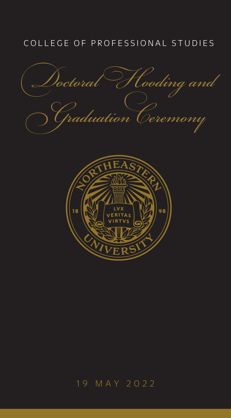# COLLEGE OF PROFESSIONAL STUDIES

*Doctoral Hooding and Graduation Ceremony*



# 19 MAY 2022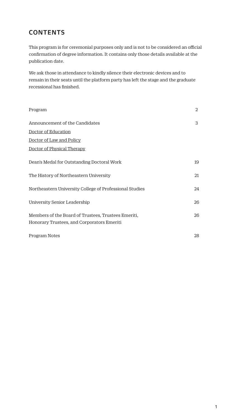## **CONTENTS**

This program is for ceremonial purposes only and is not to be considered an official confirmation of degree information. It contains only those details available at the publication date.

We ask those in attendance to kindly silence their electronic devices and to remain in their seats until the platform party has left the stage and the graduate recessional has finished.

| Program                                                 | 2  |
|---------------------------------------------------------|----|
| Announcement of the Candidates                          | 3  |
| Doctor of Education                                     |    |
| Doctor of Law and Policy                                |    |
| Doctor of Physical Therapy                              |    |
| Dean's Medal for Outstanding Doctoral Work              | 19 |
| The History of Northeastern University                  | 21 |
| Northeastern University College of Professional Studies | 24 |
| University Senior Leadership                            | 26 |
| Members of the Board of Trustees, Trustees Emeriti,     | 26 |
| Honorary Trustees, and Corporators Emeriti              |    |
| Program Notes                                           | 28 |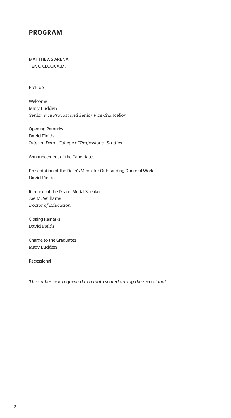### PROGRAM

MATTHEWS ARENA TEN O'CLOCK A.M.

Prelude

Welcome Mary Ludden *Senior Vice Provost and Senior Vice Chancellor*

Opening Remarks David Fields *Interim Dean, College of Professional Studies* 

Announcement of the Candidates

Presentation of the Dean's Medal for Outstanding Doctoral Work David Fields

Remarks of the Dean's Medal Speaker Jae M. Williams *Doctor of Education*

Closing Remarks David Fields

Charge to the Graduates Mary Ludden

Recessional

*The audience is requested to remain seated during the recessional.*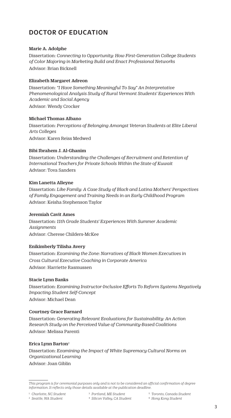## <span id="page-3-0"></span>DOCTOR OF EDUCATION

#### Marie A. Adolphe

Dissertation: *Connecting to Opportunity: How First-Generation College Students of Color Majoring in Marketing Build and Enact Professional Networks*  Advisor: Brian Bicknell

#### Elizabeth Margaret Adreon

Dissertation: *"I Have Something Meaningful To Say" An Interpretative Phenomenological Analysis Study of Rural Vermont Students' Experiences With Academic and Social Agency* Advisor: Wendy Crocker

#### Michael Thomas Albano

Dissertation: *Perceptions of Belonging Amongst Veteran Students at Elite Liberal Arts Colleges* Advisor: Karen Reiss Medwed

#### Bibi Ibrahem J. Al-Ghanim

Dissertation: *Understanding the Challenges of Recruitment and Retention of International Teachers for Private Schools Within the State of Kuwait* Advisor: Tova Sanders

#### Kim Lanetta Alleyne

Dissertation: *Like Family: A Case Study of Black and Latina Mothers' Perspectives of Family Engagement and Training Needs in an Early Childhood Program* Advisor: Keisha Stephenson Taylor

#### Jeremiah Cavit Ames

Dissertation: *11th Grade Students' Experiences With Summer Academic Assignments* Advisor: Cherese Childers-McKee

#### Enikimberly Tilisha Avery

Dissertation: *Examining the Zone: Narratives of Black Women Executives in Cross Cultural Executive Coaching in Corporate America* Advisor: Harriette Rasmussen

#### Stacie Lynn Banks

Dissertation: *Examining Instructor-Inclusive Efforts To Reform Systems Negatively Impacting Student Self-Concept* Advisor: Michael Dean

#### Courtney Grace Barnard

Dissertation: *Generating Relevant Evaluations for Sustainability: An Action Research Study on the Perceived Value of Community-Based Coalitions* Advisor: Melissa Parenti

#### Erica Lynn Barton2

Dissertation: *Examining the Impact of White Supremacy Cultural Norms on Organizational Learning* Advisor: Joan Giblin

- 5 *Toronto, Canada Student*
- 6 *Hong Kong Student*

*This program is for ceremonial purposes only and is not to be considered an official confirmation of degree information. It reflects only those details available at the publication deadline.* 

<sup>2</sup> *Seattle, WA Student*

<sup>3</sup> *Portland, ME Student* 4 *Silicon Valley, CA Student*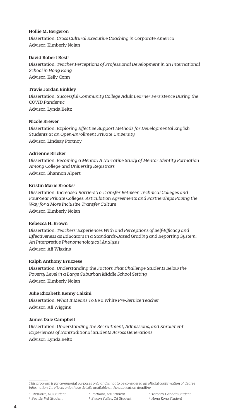#### Hollie M. Bergeron

Dissertation: *Cross Cultural Executive Coaching in Corporate America* Advisor: Kimberly Nolan

#### David Robert Best<sup>6</sup>

Dissertation: *Teacher Perceptions of Professional Development in an International School in Hong Kong* Advisor: Kelly Conn

#### Travis Jordan Binkley

Dissertation: *Successful Community College Adult Learner Persistence During the COVID Pandemic* Advisor: Lynda Beltz

#### Nicole Brewer

Dissertation: *Exploring Effective Support Methods for Developmental English Students at an Open-Enrollment Private University* Advisor: Lindsay Portnoy

#### Adrienne Bricker

Dissertation: *Becoming a Mentor: A Narrative Study of Mentor Identity Formation Among College and University Registrars* Advisor: Shannon Alpert

#### Kristin Marie Brooks<sup>1</sup>

Dissertation: *Increased Barriers To Transfer Between Technical Colleges and Four-Year Private Colleges: Articulation Agreements and Partnerships Paving the Way for a More Inclusive Transfer Culture* Advisor: Kimberly Nolan

#### Rebecca H. Brown

Dissertation: *Teachers' Experiences With and Perceptions of Self-Efficacy and Effectiveness as Educators in a Standards-Based Grading and Reporting System: An Interpretive Phenomenological Analysis* Advisor: Afi Wiggins

#### Ralph Anthony Bruzzese

Dissertation: *Understanding the Factors That Challenge Students Below the Poverty Level in a Large Suburban Middle School Setting* Advisor: Kimberly Nolan

#### Julie Elizabeth Kenny Calzini

Dissertation: *What It Means To Be a White Pre-Service Teacher* Advisor: Afi Wiggins

#### James Dale Campbell

Dissertation: *Understanding the Recruitment, Admissions, and Enrollment Experiences of Nontraditional Students Across Generations* Advisor: Lynda Beltz

- 4 *Silicon Valley, CA Student*
- 5 *Toronto, Canada Student* 6 *Hong Kong Student*

*This program is for ceremonial purposes only and is not to be considered an official confirmation of degree information. It reflects only those details available at the publication deadline.* 

<sup>2</sup> *Seattle, WA Student*

<sup>3</sup> *Portland, ME Student*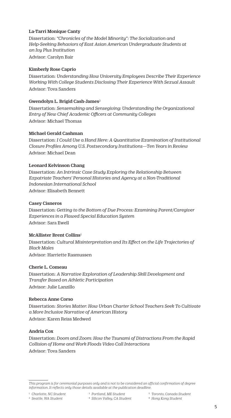#### La-Tarri Monique Canty

Dissertation: *"Chronicles of the Model Minority": The Socialization and Help-Seeking Behaviors of East Asian American Undergraduate Students at an Ivy Plus Institution* Advisor: Carolyn Bair

#### Kimberly Rose Caprio

Dissertation: *Understanding How University Employees Describe Their Experience Working With College Students Disclosing Their Experience With Sexual Assault* Advisor: Tova Sanders

#### Gwendolyn L. Brigid Cash-James<sup>2</sup>

Dissertation: *Sensemaking and Sensegiving: Understanding the Organizational Entry of New Chief Academic Officers at Community Colleges*  Advisor: Michael Thomas

#### Michael Gerald Cashman

Dissertation: *I Could Use a Hand Here: A Quantitative Examination of Institutional Closure Profiles Among U.S. Postsecondary Institutions—Ten Years in Review* Advisor: Michael Dean

#### Leonard Kelvinson Chang

Dissertation: *An Intrinsic Case Study Exploring the Relationship Between Expatriate Teachers' Personal Histories and Agency at a Non-Traditional Indonesian International School* Advisor: Elisabeth Bennett

#### Casey Cisneros

Dissertation: *Getting to the Bottom of Due Process: Examining Parent/Caregiver Experiences in a Flawed Special Education System* Advisor: Sara Ewell

#### McAllister Brent Collins1

Dissertation: *Cultural Misinterpretation and Its Effect on the Life Trajectories of Black Males* Advisor: Harriette Rasmussen

#### Cherie L. Comeau

Dissertation: *A Narrative Exploration of Leadership Skill Development and Transfer Based on Athletic Participation* Advisor: Julie Lanzillo

#### Rebecca Anne Corso

Dissertation: *Stories Matter: How Urban Charter School Teachers Seek To Cultivate a More Inclusive Narrative of American History* Advisor: Karen Reiss Medwed

#### Andria Cox

Dissertation: *Doom and Zoom: How the Tsunami of Distractions From the Rapid Collision of Home and Work Floods Video Call Interactions* Advisor: Tova Sanders

1 *Charlotte, NC Student* 2 *Seattle, WA Student*

- 5 *Toronto, Canada Student*
- 6 *Hong Kong Student*

*This program is for ceremonial purposes only and is not to be considered an official confirmation of degree information. It reflects only those details available at the publication deadline.* 

<sup>3</sup> *Portland, ME Student* 4 *Silicon Valley, CA Student*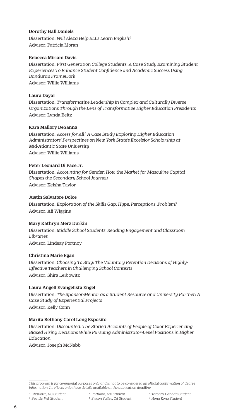#### Dorothy Hall Daniels

Dissertation: *Will Alexa Help ELLs Learn English?* Advisor: Patricia Moran

#### Rebecca Miriam Davis

Dissertation: *First Generation College Students: A Case Study Examining Student Experiences To Enhance Student Confidence and Academic Success Using Bandura's Framework*

Advisor: Willie Williams

#### Laura Dayal

Dissertation: *Transformative Leadership in Complex and Culturally Diverse Organizations Through the Lens of Transformative Higher Education Presidents* Advisor: Lynda Beltz

#### Kara Mallory DeSanna

Dissertation: *Access for All? A Case Study Exploring Higher Education Administrators' Perspectives on New York State's Excelsior Scholarship at Mid-Atlantic State University* Advisor: Willie Williams

#### Peter Leonard Di Pace Jr.

Dissertation: *Accounting for Gender: How the Market for Masculine Capital Shapes the Secondary School Journey* Advisor: Keisha Taylor

#### Justin Salvatore Dolce

Dissertation: *Exploration of the Skills Gap: Hype, Perceptions, Problem?* Advisor: Afi Wiggins

#### Mary Kathryn Merz Durkin

Dissertation: *Middle School Students' Reading Engagement and Classroom Libraries* Advisor: Lindsay Portnoy

#### Christina Marie Egan

Dissertation: *Choosing To Stay: The Voluntary Retention Decisions of Highly-Effective Teachers in Challenging School Contexts* Advisor: Shira Leibowitz

#### Laura Angell Evangelista Engel

Dissertation: *The Sponsor-Mentor as a Student Resource and University Partner: A Case Study of Experiential Projects* Advisor: Kelly Conn

#### Marita Bethany Carol Long Esposito

Dissertation: *Discounted: The Storied Accounts of People of Color Experiencing Biased Hiring Decisions While Pursuing Administrator-Level Positions in Higher Education*

Advisor: Joseph McNabb

1 *Charlotte, NC Student*

5 *Toronto, Canada Student*

2 *Seattle, WA Student*

6 *Hong Kong Student*

*This program is for ceremonial purposes only and is not to be considered an official confirmation of degree information. It reflects only those details available at the publication deadline.* 

<sup>3</sup> *Portland, ME Student* 4 *Silicon Valley, CA Student*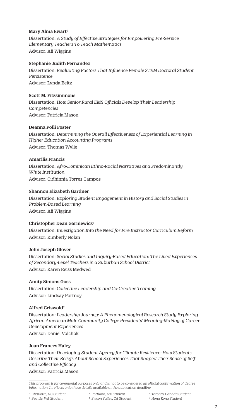#### Mary Alma Ewart<sup>2</sup>

Dissertation: *A Study of Effective Strategies for Empowering Pre-Service Elementary Teachers To Teach Mathematics* Advisor: Afi Wiggins

#### Stephanie Judith Fernandez

Dissertation: *Evaluating Factors That Influence Female STEM Doctoral Student Persistence* Advisor: Lynda Beltz

#### Scott M. Fitzsimmons

Dissertation: *How Senior Rural EMS Officials Develop Their Leadership Competencies* Advisor: Patricia Mason

#### Deanna Polli Foster

Dissertation: *Determining the Overall Effectiveness of Experiential Learning in Higher Education Accounting Programs* Advisor: Thomas Wylie

#### Amarilis Francis

Dissertation: *Afro-Dominican Ethno-Racial Narratives at a Predominantly White Institution* Advisor: Cidhinnia Torres Campos

#### Shannon Elizabeth Gardner

Dissertation: *Exploring Student Engagement in History and Social Studies in Problem-Based Learning* Advisor: Afi Wiggins

#### Christopher Dean Garniewicz1

Dissertation: *Investigation Into the Need for Fire Instructor Curriculum Reform* Advisor: Kimberly Nolan

#### John Joseph Glover

Dissertation: *Social Studies and Inquiry-Based Education: The Lived Experiences of Secondary-Level Teachers in a Suburban School District* Advisor: Karen Reiss Medwed

#### Amity Simons Goss

Dissertation: *Collective Leadership and Co-Creative Teaming* Advisor: Lindsay Portnoy

#### Alfred Griswold<sup>2</sup>

Dissertation: *Leadership Journey: A Phenomenological Research Study Exploring African American Male Community College Presidents' Meaning-Making of Career Development Experiences* Advisor: Daniel Volchok

#### Joan Frances Haley

Dissertation: *Developing Student Agency for Climate Resilience: How Students Describe Their Beliefs About School Experiences That Shaped Their Sense of Self and Collective Efficacy*

Advisor: Patricia Mason

- 3 *Portland, ME Student*
- 2 *Seattle, WA Student*
- 4 *Silicon Valley, CA Student*
- 5 *Toronto, Canada Student*
- 6 *Hong Kong Student*

*This program is for ceremonial purposes only and is not to be considered an official confirmation of degree information. It reflects only those details available at the publication deadline.*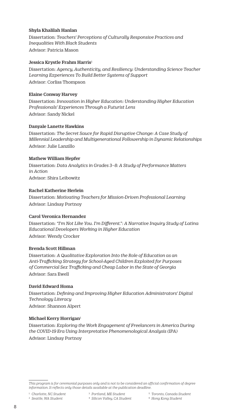#### Shyla Khalilah Hanlan

Dissertation: *Teachers' Perceptions of Culturally Responsive Practices and Inequalities With Black Students* Advisor: Patricia Mason

#### Jessica Krystle Frahm Harris<sup>1</sup>

Dissertation: *Agency, Authenticity, and Resiliency: Understanding Science Teacher Learning Experiences To Build Better Systems of Support*  Advisor: Corliss Thompson

#### Elaine Conway Harvey

Dissertation: *Innovation in Higher Education: Understanding Higher Education Professionals' Experiences Through a Futurist Lens* Advisor: Sandy Nickel

#### Danyale Lanette Hawkins

Dissertation: *The Secret Sauce for Rapid Disruptive Change: A Case Study of Millennial Leadership and Multigenerational Followership in Dynamic Relationships* Advisor: Julie Lanzillo

#### Mathew William Hepfer

Dissertation: *Data Analytics in Grades 3–8: A Study of Performance Matters in Action* Advisor: Shira Leibowitz

#### Rachel Katherine Herlein

Dissertation: *Motivating Teachers for Mission-Driven Professional Learning* Advisor: Lindsay Portnoy

#### Carol Veronica Hernandez

Dissertation: *"I'm Not Like You. I'm Different.": A Narrative Inquiry Study of Latina Educational Developers Working in Higher Education* Advisor: Wendy Crocker

#### Brenda Scott Hillman

Dissertation: *A Qualitative Exploration Into the Role of Education as an Anti-Trafficking Strategy for School-Aged Children Exploited for Purposes of Commercial Sex Trafficking and Cheap Labor in the State of Georgia* Advisor: Sara Ewell

#### David Edward Homa

Dissertation: *Defining and Improving Higher Education Administrators' Digital Technology Literacy* Advisor: Shannon Alpert

#### Michael Kerry Horrigan<sup>1</sup>

Dissertation: *Exploring the Work Engagement of Freelancers in America During the COVID-19 Era Using Interpretative Phenomenological Analysis (IPA)* Advisor: Lindsay Portnoy

- 4 *Silicon Valley, CA Student*
- 5 *Toronto, Canada Student*
- 6 *Hong Kong Student*

*This program is for ceremonial purposes only and is not to be considered an official confirmation of degree information. It reflects only those details available at the publication deadline.* 

<sup>2</sup> *Seattle, WA Student*

<sup>3</sup> *Portland, ME Student*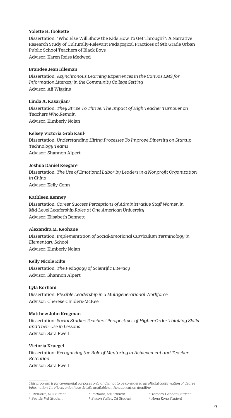#### Yolette H. Ibokette

Dissertation: "Who Else Will Show the Kids How To Get Through?": A Narrative Research Study of Culturally-Relevant Pedagogical Practices of 9th Grade Urban Public School Teachers of Black Boys Advisor: Karen Reiss Medwed

#### Brandee Jean Idleman

Dissertation: *Asynchronous Learning Experiences in the Canvas LMS for Information Literacy in the Community College Setting* Advisor: Afi Wiggins

#### Linda A. Kasarjian<sup>1</sup>

Dissertation: *They Strive To Thrive: The Impact of High Teacher Turnover on Teachers Who Remain* Advisor: Kimberly Nolan

#### Kelsey Victoria Grab Kaul2

Dissertation: *Understanding Hiring Processes To Improve Diversity on Startup Technology Teams* Advisor: Shannon Alpert

#### Joshua Daniel Keegan<sup>6</sup>

Dissertation: *The Use of Emotional Labor by Leaders in a Nonprofit Organization in China* Advisor: Kelly Conn

#### Kathleen Kenney

Dissertation: *Career Success Perceptions of Administrative Staff Women in Mid-Level Leadership Roles at One American University* Advisor: Elisabeth Bennett

#### Alexandra M. Keohane

Dissertation: *Implementation of Social-Emotional Curriculum Terminology in Elementary School* Advisor: Kimberly Nolan

#### Kelly Nicole Kilts

Dissertation: *The Pedagogy of Scientific Literacy* Advisor: Shannon Alpert

#### Lyla Korhani

Dissertation: *Flexible Leadership in a Multigenerational Workforce* Advisor: Cherese Childers-McKee

#### Matthew John Krogman

Dissertation: *Social Studies Teachers' Perspectives of Higher-Order Thinking Skills and Their Use in Lessons* Advisor: Sara Ewell

#### Victoria Kruegel

Dissertation: *Recognizing the Role of Mentoring in Achievement and Teacher Retention* Advisor: Sara Ewell

1 *Charlotte, NC Student* 2 *Seattle, WA Student*

- 3 *Portland, ME Student* 4 *Silicon Valley, CA Student*
- 5 *Toronto, Canada Student*
- 6 *Hong Kong Student*

*This program is for ceremonial purposes only and is not to be considered an official confirmation of degree information. It reflects only those details available at the publication deadline.*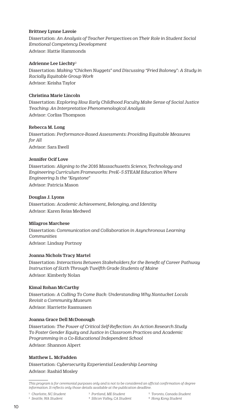#### Brittney Lynne Lavoie

Dissertation: *An Analysis of Teacher Perspectives on Their Role in Student Social Emotional Competency Development*

Advisor: Hattie Hammonds

#### Adrienne Lee Liechty2

Dissertation: *Making "Chicken Nuggets" and Discussing "Fried Baloney": A Study in Racially Equitable Group Work* Advisor: Keisha Taylor

#### Christina Marie Lincoln

Dissertation: *Exploring How Early Childhood Faculty Make Sense of Social Justice Teaching: An Interpretative Phenomenological Analysis* Advisor: Corliss Thompson

#### Rebecca M. Long

Dissertation: *Performance-Based Assessments: Providing Equitable Measures for All* Advisor: Sara Ewell

#### Jennifer Ocif Love

Dissertation: *Aligning to the 2016 Massachusetts Science, Technology and Engineering Curriculum Frameworks: PreK–5 STEAM Education Where Engineering Is the "Keystone"* Advisor: Patricia Mason

#### Douglas J. Lyons

Dissertation: *Academic Achievement, Belonging, and Identity* Advisor: Karen Reiss Medwed

#### Milagros Marchese

Dissertation: *Communication and Collaboration in Asynchronous Learning Communities* Advisor: Lindsay Portnoy

#### Joanna Nichols Tracy Martel

Dissertation: *Interactions Between Stakeholders for the Benefit of Career Pathway Instruction of Sixth Through Twelfth Grade Students of Maine* Advisor: Kimberly Nolan

#### Kimal Rohan McCarthy

Dissertation: *A Calling To Come Back: Understanding Why Nantucket Locals Revisit a Community Museum* Advisor: Harriette Rasmussen

#### Joanna Grace Dell McDonough

Dissertation: *The Power of Critical Self-Reflection: An Action Research Study To Foster Gender Equity and Justice in Classroom Practices and Academic Programming in a Co-Educational Independent School* Advisor: Shannon Alpert

#### Matthew L. McFadden

Dissertation: *Cybersecurity Experiential Leadership Learning* Advisor: Rashid Mosley

1 *Charlotte, NC Student*

3 *Portland, ME Student*

2 *Seattle, WA Student*

- 4 *Silicon Valley, CA Student*
- 5 *Toronto, Canada Student*
- 6 *Hong Kong Student*

*This program is for ceremonial purposes only and is not to be considered an official confirmation of degree information. It reflects only those details available at the publication deadline.*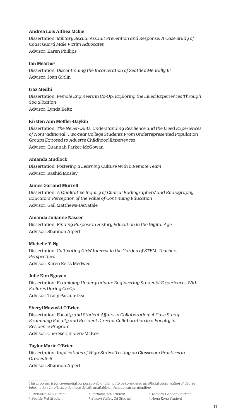#### Andrea Lois Althea Mckie

Dissertation: *Military Sexual Assault Prevention and Response: A Case Study of Coast Guard Male Victim Advocates* Advisor: Karen Phillips

#### Ian Mearns<sup>2</sup>

Dissertation: *Discontinuing the Incarceration of Seattle's Mentally Ill* Advisor: Joan Giblin

#### Iraz Medhi

Dissertation: *Female Engineers in Co-Op: Exploring the Lived Experiences Through Socialization* Advisor: Lynda Beltz

#### Kirsten Ann Moffler-Daykin

Dissertation: *The Never-Quits: Understanding Resilience and the Lived Experiences of Nontraditional, Two-Year College Students From Underrepresented Population Groups Exposed to Adverse Childhood Experiences* Advisor: Quannah Parker-McGowan

#### Amanda Mudlock

Dissertation: *Fostering a Learning Culture With a Remote Team* Advisor: Rashid Mosley

#### James Garland Murrell

Dissertation: *A Qualitative Inquiry of Clinical Radiographers' and Radiography Educators' Perception of the Value of Continuing Education* Advisor: Gail Matthews-DeNatale

#### Amanda Julianne Nasser

Dissertation: *Finding Purpose in History Education in the Digital Age* Advisor: Shannon Alpert

#### Michelle Y. Ng

Dissertation: *Cultivating Girls' Interest in the Garden of STEM: Teachers' Perspectives*  Advisor: Karen Reiss Medwed

#### Julie Kim Nguyen

Dissertation: *Examining Undergraduate Engineering Students' Experiences With Failures During Co-Op* Advisor: Tracy Pascua-Dea

#### Sheryl Mayuski O'Brien

Dissertation: *Faculty and Student Affairs in Collaboration: A Case Study Examining Faculty and Resident Director Collaboration in a Faculty in Residence Program* Advisor: Cherese Childers-McKee

#### Taylor Marie O'Brien

Dissertation: *Implications of High-Stakes Testing on Classroom Practices in Grades 3–5* Advisor: Shannon Alpert

- 2 *Seattle, WA Student*
- 3 *Portland, ME Student* 4 *Silicon Valley, CA Student*
- 5 *Toronto, Canada Student*
- 6 *Hong Kong Student*

*This program is for ceremonial purposes only and is not to be considered an official confirmation of degree information. It reflects only those details available at the publication deadline.*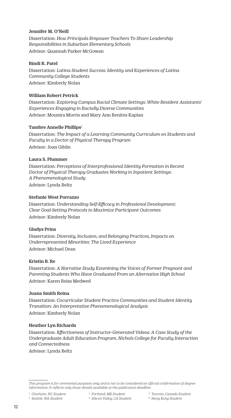#### Jennifer M. O'Neill

Dissertation: *How Principals Empower Teachers To Share Leadership Responsibilities in Suburban Elementary Schools* Advisor: Quannah Parker-McGowan

#### Bindi R. Patel

Dissertation: *Latina Student Success: Identity and Experiences of Latina Community College Students* Advisor: Kimberly Nolan

#### William Robert Petrick

Dissertation: *Exploring Campus Racial Climate Settings: White Resident Assistants' Experiences Engaging in Racially Diverse Communities* Advisor: Mounira Morris and Mary Ann Benites Kaplan

#### Tambre Annelle Phillips<sup>1</sup>

Dissertation: *The Impact of a Learning Community Curriculum on Students and Faculty in a Doctor of Physical Therapy Program* Advisor: Joan Giblin

#### Laura S. Plummer

Dissertation: *Perceptions of Interprofessional Identity Formation in Recent Doctor of Physical Therapy Graduates Working in Inpatient Settings: A Phenomenological Study* Advisor: Lynda Beltz

#### Stefanie West Porrazzo

Dissertation: *Understanding Self-Efficacy in Professional Development: Clear Goal-Setting Protocols to Maximize Participant Outcomes* Advisor: Kimberly Nolan

#### Gladys Prins

Dissertation: *Diversity, Inclusion, and Belonging Practices, Impacts on Underrepresented Minorities: The Lived Experience* Advisor: Michael Dean

#### Kristin B. Re

Dissertation: *A Narrative Study Examining the Voices of Former Pregnant and Parenting Students Who Have Graduated From an Alternative High School* Advisor: Karen Reiss Medwed

#### Juana Smith Reina

Dissertation: *Cocurricular Student Practice Communities and Student Identity Transition: An Interpretative Phenomenological Analysis* Advisor: Kimberly Nolan

#### Heather Lyn Richards

Dissertation: *Effectiveness of Instructor-Generated Videos: A Case Study of the Undergraduate Adult Education Program, Nichols College for Faculty Interaction and Connectedness*

Advisor: Lynda Beltz

- 4 *Silicon Valley, CA Student*
- 5 *Toronto, Canada Student*
- 6 *Hong Kong Student*

*This program is for ceremonial purposes only and is not to be considered an official confirmation of degree information. It reflects only those details available at the publication deadline.* 

<sup>1</sup> *Charlotte, NC Student*

<sup>2</sup> *Seattle, WA Student*

<sup>3</sup> *Portland, ME Student*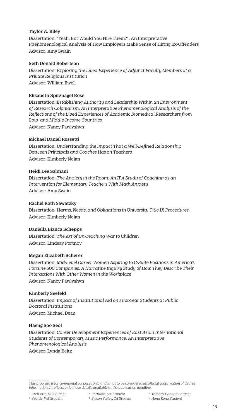#### Taylor A. Riley

Dissertation: "Yeah, But Would You Hire Them?": An Interpretative Phenomenological Analysis of How Employers Make Sense of Hiring Ex-Offenders Advisor: Amy Swain

#### Seth Donald Robertson

Dissertation: *Exploring the Lived Experience of Adjunct Faculty Members at a Private Religious Institution* Advisor: William Ewell

#### Elizabeth Spitznagel Rose

Dissertation: *Establishing Authority and Leadership Within an Environment of Research Colonialism: An Interpretative Phenomenological Analysis of the Reflections of the Lived Experiences of Academic Biomedical Researchers from Low- and Middle-Income Countries* Advisor: Nancy Pawlyshyn

#### Michael Daniel Rossetti

Dissertation: *Understanding the Impact That a Well-Defined Relationship Between Principals and Coaches Has on Teachers* Advisor: Kimberly Nolan

#### Heidi Lee Sabnani

Dissertation: *The Anxiety in the Room: An IPA Study of Coaching as an Intervention for Elementary Teachers With Math Anxiety* Advisor: Amy Swain

#### Rachel Roth Sawatzky

Dissertation: *Harms, Needs, and Obligations in University Title IX Procedures* Advisor: Kimberly Nolan

#### Daniella Bianca Schepps

Dissertation: *The Art of Un-Teaching War to Children* Advisor: Lindsay Portnoy

#### Megan Elizabeth Scherer

Dissertation: *Mid-Level Career Women Aspiring to C-Suite Positions in America's Fortune 500 Companies: A Narrative Inquiry Study of How They Describe Their Interactions With Other Women in the Workplace* Advisor: Nancy Pawlyshyn

#### Kimberly Seefeld

Dissertation: *Impact of Institutional Aid on First-Year Students at Public Doctoral Institutions* Advisor: Michael Dean

#### Haeng Soo Seol

Dissertation: *Career Development Experiences of East Asian International Students of Contemporary Music Performance: An Interpretative Phenomenological Analysis* Advisor: Lynda Beltz

- 4 *Silicon Valley, CA Student*
- 5 *Toronto, Canada Student*
- 6 *Hong Kong Student*

*This program is for ceremonial purposes only and is not to be considered an official confirmation of degree information. It reflects only those details available at the publication deadline.* 

<sup>2</sup> *Seattle, WA Student*

<sup>3</sup> *Portland, ME Student*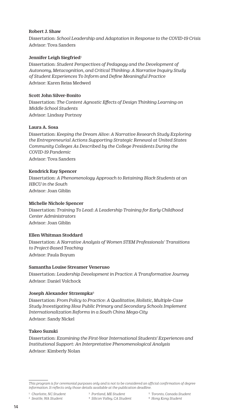#### Robert J. Shaw

Dissertation: *School Leadership and Adaptation in Response to the COVID-19 Crisis* Advisor: Tova Sanders

#### Jennifer Leigh Siegfried<sup>1</sup>

Dissertation: *Student Perspectives of Pedagogy and the Development of Autonomy, Metacognition, and Critical Thinking: A Narrative Inquiry Study of Student Experiences To Inform and Define Meaningful Practice* Advisor: Karen Reiss Medwed

#### Scott John Silver-Bonito

Dissertation: *The Content Agnostic Effects of Design Thinking Learning on Middle School Students* Advisor: Lindsay Portnoy

#### Laura A. Sosa

Dissertation: *Keeping the Dream Alive: A Narrative Research Study Exploring the Entrepreneurial Actions Supporting Strategic Renewal at United States Community Colleges As Described by the College Presidents During the COVID-19 Pandemic* Advisor: Tova Sanders

#### Kendrick Ray Spencer

Dissertation: *A Phenomenology Approach to Retaining Black Students at an HBCU in the South* Advisor: Joan Giblin

#### Michelle Nichole Spencer

Dissertation: *Training To Lead: A Leadership Training for Early Childhood Center Administrators* Advisor: Joan Giblin

#### Ellen Whitman Stoddard

Dissertation: *A Narrative Analysis of Women STEM Professionals' Transitions to Project-Based Teaching* Advisor: Paula Boyum

#### Samantha Louise Streamer Veneruso

Dissertation: *Leadership Development in Practice: A Transformative Journey* Advisor: Daniel Volchock

#### Joseph Alexander Strzempka<sup>6</sup>

Dissertation: *From Policy to Practice: A Qualitative, Holistic, Multiple-Case Study Investigating How Public Primary and Secondary Schools Implement Internationalization Reforms in a South China Mega-City* Advisor: Sandy Nickel

#### Takeo Suzuki

Dissertation: *Examining the First-Year International Students' Experiences and Institutional Support: An Interpretative Phenomenological Analysis* Advisor: Kimberly Nolan

- 3 *Portland, ME Student* 4 *Silicon Valley, CA Student*
- 5 *Toronto, Canada Student*
- 6 *Hong Kong Student*

*This program is for ceremonial purposes only and is not to be considered an official confirmation of degree information. It reflects only those details available at the publication deadline.* 

<sup>2</sup> *Seattle, WA Student*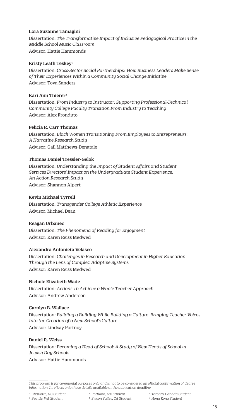#### Lora Suzanne Tamagini

Dissertation: *The Transformative Impact of Inclusive Pedagogical Practice in the Middle School Music Classroom*

Advisor: Hattie Hammonds

#### Kristy Leath Teskey<sup>1</sup>

Dissertation: *Cross-Sector Social Partnerships: How Business Leaders Make Sense of Their Experiences Within a Community Social Change Initiative* Advisor: Tova Sanders

#### Kari Ann Thierer2

Dissertation: *From Industry to Instructor: Supporting Professional-Technical Community College Faculty Transition From Industry to Teaching* Advisor: Alex Fronduto

#### Felicia R. Carr Thomas

Dissertation: *Black Women Transitioning From Employees to Entrepreneurs: A Narrative Research Study* Advisor: Gail Matthews-Denatale

#### Thomas Daniel Tressler-Gelok

Dissertation: *Understanding the Impact of Student Affairs and Student Services Directors' Impact on the Undergraduate Student Experience: An Action Research Study* Advisor: Shannon Alpert

#### Kevin Michael Tyrrell

Dissertation: *Transgender College Athletic Experience* Advisor: Michael Dean

#### Reagan Urbanec

Dissertation: *The Phenomena of Reading for Enjoyment* Advisor: Karen Reiss Medwed

#### Alexandra Antonieta Velasco

Dissertation: *Challenges in Research and Development in Higher Education Through the Lens of Complex Adaptive Systems* Advisor: Karen Reiss Medwed

#### Nichole Elizabeth Wade

Dissertation: *Actions To Achieve a Whole Teacher Approach* Advisor: Andrew Anderson

#### Carolyn B. Wallace

Dissertation: *Building a Building While Building a Culture: Bringing Teacher Voices Into the Creation of a New School's Culture* Advisor: Lindsay Portnoy

#### Daniel R. Weiss

Dissertation: *Becoming a Head of School: A Study of New Heads of School in Jewish Day Schools* Advisor: Hattie Hammonds

1 *Charlotte, NC Student*

6 *Hong Kong Student*

*This program is for ceremonial purposes only and is not to be considered an official confirmation of degree information. It reflects only those details available at the publication deadline.* 

<sup>2</sup> *Seattle, WA Student*

<sup>3</sup> *Portland, ME Student* 4 *Silicon Valley, CA Student*

<sup>5</sup> *Toronto, Canada Student*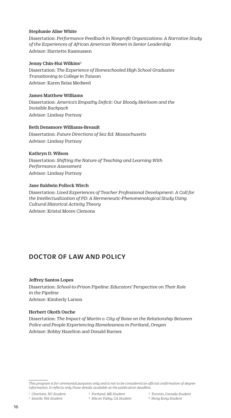#### <span id="page-16-0"></span>Stephanie Alise White

Dissertation: *Performance Feedback in Nonprofit Organizations: A Narrative Study of the Experiences of African American Women in Senior Leadership*  Advisor: Harriette Rasmussen

#### Jenny Chin-Hui Wilkins<sup>6</sup>

Dissertation: *The Experience of Homeschooled High School Graduates Transitioning to College in Taiwan* Advisor: Karen Reiss Medwed

#### James Matthew Williams

Dissertation: *America's Empathy Deficit: Our Bloody Heirloom and the Invisible Backpack* Advisor: Lindsay Portnoy

#### Beth Densmore Williams-Breault

Dissertation: *Future Directions of Sex Ed: Massachusetts* Advisor: Lindsay Portnoy

#### Kathryn D. Wilson

Dissertation: *Shifting the Nature of Teaching and Learning With Performance Assessment* Advisor: Lindsay Portnoy

#### Jane Baldwin Pollock Wirch

Dissertation: *Lived Experiences of Teacher Professional Development: A Call for the Intellectualization of PD: A Hermeneutic-Phenomenological Study Using Cultural Historical Activity Theory* Advisor: Kristal Moore Clemons

### DOCTOR OF LAW AND POLICY

#### Jeffrey Santos Lopes

Dissertation: *School-to-Prison Pipeline: Educators' Perspective on Their Role in the Pipeline* Advisor: Kimberly Larson

#### Herbert Okoth Ouche

Dissertation: *The Impact of Martin v. City of Boise on the Relationship Between Police and People Experiencing Homelessness in Portland, Oregon* Advisor: Bobby Hazelton and Donald Burnes

1 *Charlotte, NC Student*

- 3 *Portland, ME Student*
- 5 *Toronto, Canada Student*

2 *Seattle, WA Student*

6 *Hong Kong Student*

*This program is for ceremonial purposes only and is not to be considered an official confirmation of degree information. It reflects only those details available at the publication deadline.*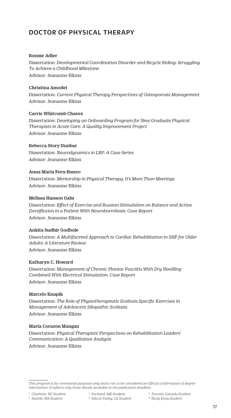## <span id="page-17-0"></span>DOCTOR OF PHYSICAL THERAPY

#### Ronnie Adler

Dissertation: *Developmental Coordination Disorder and Bicycle Riding: Struggling To Achieve a Childhood Milestone* Advisor: Jeananne Elkins

#### Christina Amodei

Dissertation: *Current Physical Therapy Perspectives of Osteoporosis Management* Advisor: Jeananne Elkins

#### Carrie Whitcomb Chavez

Dissertation: *Developing an Onboarding Program for New Graduate Physical Therapists in Acute Care: A Quality Improvement Project* Advisor: Jeananne Elkins

#### Rebecca Story Dunbar

Dissertation: *Neurodynamics in LBP: A Case Series*  Advisor: Jeananne Elkins

#### Anna Maria Fern-Buneo

Dissertation: *Mentorship in Physical Therapy: It's More Than Meetings* Advisor: Jeananne Elkins

#### Melissa Hanson Gahr

Dissertation: *Effect of Exercise and Russian Stimulation on Balance and Active Dorsiflexion in a Patient With Neuroborreliosis: Case Report* Advisor: Jeananne Elkins

#### Ankita Sudhir Godbole

Dissertation: *A Multifaceted Approach to Cardiac Rehabilitation in SNF for Older Adults: A Literature Review* Advisor: Jeananne Elkins

#### Katharyn C. Howard

Dissertation: *Management of Chronic Plantar Fasciitis With Dry Needling Combined With Electrical Stimulation: Case Report* Advisor: Jeananne Elkins

#### Marcelo Knapik

Dissertation: *The Role of Physiotherapeutic Scoliosis Specific Exercises in Management of Adolescent Idiopathic Scoliosis* Advisor: Jeananne Elkins

#### Maria Corazon Mangan

Dissertation: *Physical Therapists' Perspectives on Rehabilitation Leaders' Communication: A Qualitative Analysis* Advisor: Jeananne Elkins

1 *Charlotte, NC Student* 2 *Seattle, WA Student*

- 5 *Toronto, Canada Student*
- 6 *Hong Kong Student*

*This program is for ceremonial purposes only and is not to be considered an official confirmation of degree information. It reflects only those details available at the publication deadline.* 

<sup>3</sup> *Portland, ME Student* 4 *Silicon Valley, CA Student*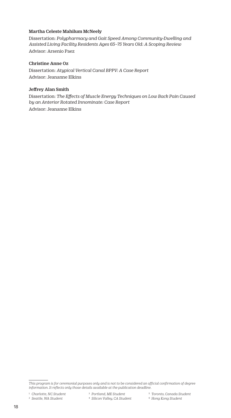#### Martha Celeste Mahilum McNeely

Dissertation: *Polypharmacy and Gait Speed Among Community-Dwelling and Assisted Living Facility Residents Ages 65–75 Years Old: A Scoping Review* Advisor: Arsenio Paez

#### Christine Anne Oz

Dissertation: *Atypical Vertical Canal BPPV: A Case Report*  Advisor: Jeananne Elkins

#### Jeffrey Alan Smith

Dissertation: *The Effects of Muscle Energy Techniques on Low Back Pain Caused by an Anterior Rotated Innominate: Case Report* Advisor: Jeananne Elkins

- 5 *Toronto, Canada Student*
- 6 *Hong Kong Student*

*This program is for ceremonial purposes only and is not to be considered an official confirmation of degree information. It reflects only those details available at the publication deadline.* 

<sup>2</sup> *Seattle, WA Student*

<sup>3</sup> *Portland, ME Student* 4 *Silicon Valley, CA Student*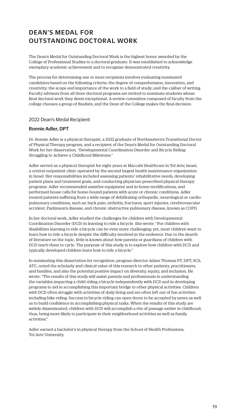## DEAN'S MEDAL FOR OUTSTANDING DOCTORAL WORK

The Dean's Medal for Outstanding Doctoral Work is the highest honor awarded by the College of Professional Studies to a doctoral graduate. It was established to acknowledge exemplary academic achievement and to recognize demonstrated creativity.

The process for determining one or more recipients involves evaluating nominated candidates based on the following criteria: the degree of comprehension, innovation, and creativity; the scope and importance of the work to a field of study; and the caliber of writing. Faculty advisors from all three doctoral programs are invited to nominate students whose final doctoral work they deem exceptional. A review committee composed of faculty from the college chooses a group of finalists, and the Dean of the College makes the final decision.

#### 2022 Dean's Medal Recipient

#### Ronnie Adler, DPT

Dr. Ronnie Adler is a physical therapist, a 2022 graduate of Northeastern's Transitional Doctor of Physical Therapy program, and a recipient of the Dean's Medal for Outstanding Doctoral Work for her dissertation, "Developmental Coordination Disorder and Bicycle Riding: Struggling to Achieve a Childhood Milestone."

Adler served as a physical therapist for eight years at Maccabi Healthcare in Tel Aviv, Israel, a central outpatient clinic operated by the second largest health maintenance organization in Israel. Her responsibilities included assessing patients' rehabilitative needs, developing patient plans and treatment goals, and conducting physician-prescribed physical therapy programs. Adler recommended assistive equipment and in-home modifications, and performed house calls for home-bound patients with acute or chronic conditions. Adler treated patients suffering from a wide range of debilitating orthopedic, neurological or cardiopulmonary conditions, such as: back pain, arthritis, fractures, sport injuries, cerebrovascular accident, Parkinson's disease, and chronic obstructive pulmonary disease, known as COPD.

In her doctoral work, Adler studied the challenges for children with Developmental Coordination Disorder (DCD) in learning to ride a bicycle. She wrote: "For children with disabilities learning to ride a bicycle can be even more challenging; yet, most children want to learn how to ride a bicycle despite the difficulty involved in the endeavor. Due to the dearth of literature on the topic, little is known about how parents or guardians of children with DCD teach them to cycle. The purpose of this study is to explore how children with DCD and typically developed children learn how to ride a bicycle."

In nominating this dissertation for recognition, program director Adam Thomas PT, DPT, SCS, ATC, noted the scholarly and clinical value of this research to other patients, practitioners, and families, and also the potential positive impact on diversity, equity, and inclusion. He wrote: "The results of this study will assist parents and professionals in understanding the variables impacting a child riding a bicycle independently with DCD and in developing programs to aid in accomplishing this important bridge to other physical activities. Children with DCD often struggle with activities of daily living and are often left out of fun activities including bike riding. Success in bicycle riding can open doors to be accepted by peers as well as to build confidence in accomplishing physical tasks. When the results of this study are widely disseminated, children with DCD will accomplish a rite of passage earlier in childhood; thus, being more likely to participate in their neighborhood activities as well as family activities."

Adler earned a bachelor's in physical therapy from the School of Health Professions, Tel Aviv University.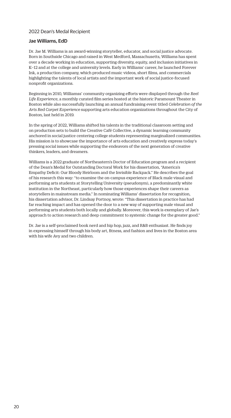#### 2022 Dean's Medal Recipient

#### Jae Williams, EdD

Dr. Jae M. Williams is an award-winning storyteller, educator, and social justice advocate. Born in Southside Chicago and raised in West Medford, Massachusetts, Williams has spent over a decade working in education, supporting diversity, equity, and inclusion initiatives in K–12 and at the college and university levels. Early in Williams' career, he launched Forever Ink, a production company, which produced music videos, short films, and commercials highlighting the talents of local artists and the important work of social justice-focused nonprofit organizations.

Beginning in 2010, Williamss' community organizing efforts were displayed through the *Reel Life Experience*, a monthly curated film series hosted at the historic Paramount Theater in Boston while also successfully launching an annual fundraising event titled *Celebration of the Arts Red Carpet Experience* supporting arts education organizations throughout the City of Boston, last held in 2019.

In the spring of 2022, Williams shifted his talents in the traditional classroom setting and on production sets to build the Creative Café Collective, a dynamic learning community anchored in social justice centering college students representing marginalized communities. His mission is to showcase the importance of arts education and creatively express today's pressing social issues while supporting the endeavors of the next generation of creative thinkers, leaders, and dreamers.

Williams is a 2022 graduate of Northeastern's Doctor of Education program and a recipient of the Dean's Medal for Outstanding Doctoral Work for his dissertation, "America's Empathy Deficit: Our Bloody Heirloom and the Invisible Backpack." He describes the goal of his research this way: "to examine the on-campus experience of Black male visual and performing arts students at Storytelling University (pseudonym), a predominantly white institution in the Northeast, particularly how those experiences shape their careers as storytellers in mainstream media." In nominating Williams' dissertation for recognition, his dissertation advisor, Dr. Lindsay Portnoy, wrote: "This dissertation in practice has had far reaching impact and has opened the door to a new way of supporting male visual and performing arts students both locally and globally. Moreover, this work is exemplary of Jae's approach to action research and deep commitment to systemic change for the greater good."

Dr. Jae is a self-proclaimed book nerd and hip hop, jazz, and R&B enthusiast. He finds joy in expressing himself through his body art, fitness, and fashion and lives in the Boston area with his wife Avy and two children.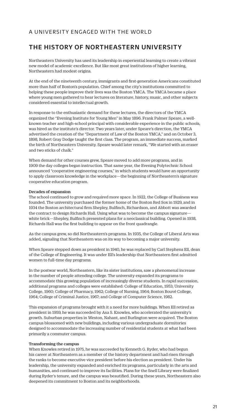### A UNIVERSITY ENGAGED WITH THE WORLD

### THE HISTORY OF NORTHEASTERN UNIVERSITY

Northeastern University has used its leadership in experiential learning to create a vibrant new model of academic excellence. But like most great institutions of higher learning, Northeastern had modest origins.

At the end of the nineteenth century, immigrants and first-generation Americans constituted more than half of Boston's population. Chief among the city's institutions committed to helping these people improve their lives was the Boston YMCA. The YMCA became a place where young men gathered to hear lectures on literature, history, music, and other subjects considered essential to intellectual growth.

In response to the enthusiastic demand for these lectures, the directors of the YMCA organized the "Evening Institute for Young Men" in May 1896. Frank Palmer Speare, a wellknown teacher and high-school principal with considerable experience in the public schools, was hired as the institute's director. Two years later, under Speare's direction, the YMCA advertised the creation of the "Department of Law of the Boston YMCA," and on October 3, 1898, Robert Gray Dodge taught the first class. The program, an immediate success, marked the birth of Northeastern University. Speare would later remark, "We started with an eraser and two sticks of chalk."

When demand for other courses grew, Speare moved to add more programs, and in 1909 the day colleges began instruction. That same year, the Evening Polytechnic School announced "cooperative engineering courses," in which students would have an opportunity to apply classroom knowledge in the workplace—the beginning of Northeastern's signature cooperative education program.

#### Decades of expansion

The school continued to grow and required more space. In 1922, the College of Business was founded. The university purchased the former home of the Boston Red Sox in 1929, and in 1934 the Boston architectural firm Shepley, Bulfinch, Richardson, and Abbott was awarded the contract to design Richards Hall. Using what was to become the campus signature white brick—Shepley, Bulfinch presented plans for a neoclassical building. Opened in 1938, Richards Hall was the first building to appear on the front quadrangle.

As the campus grew, so did Northeastern's programs. In 1935, the College of Liberal Arts was added, signaling that Northeastern was on its way to becoming a major university.

When Speare stepped down as president in 1940, he was replaced by Carl Stephens Ell, dean of the College of Engineering. It was under Ell's leadership that Northeastern first admitted women to full-time day programs.

In the postwar world, Northeastern, like its sister institutions, saw a phenomenal increase in the number of people attending college. The university expanded its programs to accommodate this growing population of increasingly diverse students. In rapid succession, additional programs and colleges were established: College of Education, 1953; University College, 1960; College of Pharmacy, 1962; College of Nursing, 1964; Boston Bouvé College, 1964; College of Criminal Justice, 1967; and College of Computer Science, 1982.

This expansion of programs brought with it a need for more buildings. When Ell retired as president in 1959, he was succeeded by Asa S. Knowles, who accelerated the university's growth. Suburban properties in Weston, Nahant, and Burlington were acquired. The Boston campus blossomed with new buildings, including various undergraduate dormitories designed to accommodate the increasing number of residential students at what had been primarily a commuter campus.

#### Transforming the campus

When Knowles retired in 1975, he was succeeded by Kenneth G. Ryder, who had begun his career at Northeastern as a member of the history department and had risen through the ranks to become executive vice president before his election as president. Under his leadership, the university expanded and enriched its programs, particularly in the arts and humanities, and continued to improve its facilities. Plans for the Snell Library were finalized during Ryder's tenure, and the campus was beautified. During these years, Northeastern also deepened its commitment to Boston and its neighborhoods.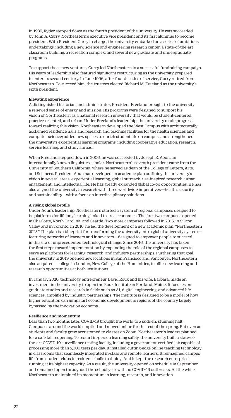In 1989, Ryder stepped down as the fourth president of the university. He was succeeded by John A. Curry, Northeastern's executive vice president and its first alumnus to become president. With President Curry in charge, the university embarked on a series of ambitious undertakings, including a new science and engineering research center, a state-of-the-art classroom building, a recreation complex, and several new graduate and undergraduate programs.

To support these new ventures, Curry led Northeastern in a successful fundraising campaign. His years of leadership also featured significant restructuring as the university prepared to enter its second century. In June 1996, after four decades of service, Curry retired from Northeastern. To succeed him, the trustees elected Richard M. Freeland as the university's sixth president.

#### Elevating experience

A distinguished historian and administrator, President Freeland brought to the university a renewed sense of energy and mission. His programs were designed to support his vision of Northeastern as a national research university that would be student-centered, practice-oriented, and urban. Under Freeland's leadership, the university made progress toward realizing this vision. Northeastern developed the West Campus with architecturally acclaimed residence halls and research and teaching facilities for the health sciences and computer science; added new spaces to enrich student life on campus; and strengthened the university's experiential learning programs, including cooperative education, research, service learning, and study abroad.

When Freeland stepped down in 2006, he was succeeded by Joseph E. Aoun, an internationally known linguistics scholar. Northeastern's seventh president came from the University of Southern California, where he served as dean of the College of Letters, Arts, and Sciences. President Aoun has developed an academic plan outlining the university's vision in several areas: experiential learning, global outreach, use-inspired research, urban engagement, and intellectual life. He has greatly expanded global co-op opportunities. He has also aligned the university's research with three worldwide imperatives—health, security, and sustainability—with a focus on interdisciplinary solutions.

#### A rising global profile

Under Aoun's leadership, Northeastern started a system of regional campuses designed to be platforms for lifelong learning linked to area economies. The first two campuses opened in Charlotte, North Carolina, and Seattle. Two more campuses followed in 2015, in Silicon Valley and in Toronto. In 2016, he led the development of a new academic plan, "Northeastern 2025." The plan is a blueprint for transforming the university into a global university system featuring networks of learners and innovators—designed to empower people to succeed in this era of unprecedented technological change. Since 2016, the university has taken the first steps toward implementation by expanding the role of the regional campuses to serve as platforms for learning, research, and industry partnerships. Furthering that goal, the university in 2019 opened new locations in San Francisco and Vancouver. Northeastern also acquired a college in London, New College of the Humanities, to offer new learning and research opportunities at both institutions.

In January 2020, technology entrepreneur David Roux and his wife, Barbara, made an investment in the university to open the Roux Institute in Portland, Maine. It focuses on graduate studies and research in fields such as AI, digital engineering, and advanced life sciences, amplified by industry partnerships. The institute is designed to be a model of how higher education can jumpstart economic development in regions of the country largely bypassed by the innovation economy.

#### Resilience and momentum

Less than two months later, COVID-19 brought the world to a sudden, stunning halt. Campuses around the world emptied and moved online for the rest of the spring. But even as students and faculty grew accustomed to classes on Zoom, Northeastern's leaders planned for a safe fall reopening. To restart in-person learning safely, the university built a state-ofthe-art COVID-19 surveillance testing facility, including a government-certified lab capable of processing more than 5,000 tests per day. It installed cutting-edge online teaching technology in classrooms that seamlessly integrated in-class and remote learners. It reimagined campus life from student clubs to residence halls to dining. And it kept the research enterprise running at its highest capacity. As a result, the university opened on schedule in September and remained open throughout the school year with no COVID-19 outbreaks. All the while, Northeastern maintained its momentum in learning, research, and innovation.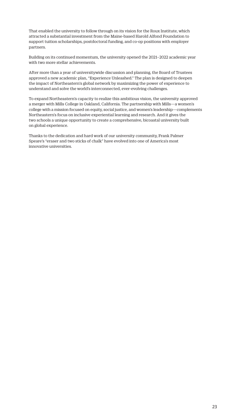That enabled the university to follow through on its vision for the Roux Institute, which attracted a substantial investment from the Maine-based Harold Alfond Foundation to support tuition scholarships, postdoctoral funding, and co-op positions with employer partners.

Building on its continued momentum, the university opened the 2021–2022 academic year with two more stellar achievements.

After more than a year of universitywide discussion and planning, the Board of Trustees approved a new academic plan, "Experience Unleashed." The plan is designed to deepen the impact of Northeastern's global network by maximizing the power of experience to understand and solve the world's interconnected, ever-evolving challenges.

To expand Northeastern's capacity to realize this ambitious vision, the university approved a merger with Mills College in Oakland, California. The partnership with Mills—a women's college with a mission focused on equity, social justice, and women's leadership—complements Northeastern's focus on inclusive experiential learning and research. And it gives the two schools a unique opportunity to create a comprehensive, bicoastal university built on global experience.

Thanks to the dedication and hard work of our university community, Frank Palmer Speare's "eraser and two sticks of chalk" have evolved into one of America's most innovative universities.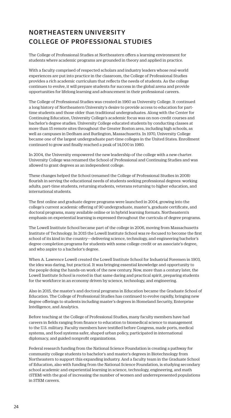## NORTHEASTERN UNIVERSITY COLLEGE OF PROFESSIONAL STUDIES

The College of Professional Studies at Northeastern offers a learning environment for students where academic programs are grounded in theory and applied in practice.

With a faculty comprised of respected scholars and industry leaders whose real-world experiences are put into practice in the classroom, the College of Professional Studies provides a rich academic curriculum that reflects the needs of students. As the college continues to evolve, it will prepare students for success in the global arena and provide opportunities for lifelong learning and advancement in their professional careers.

The College of Professional Studies was created in 1960 as University College. It continued a long history of Northeastern University's desire to provide access to education for parttime students and those older than traditional undergraduates. Along with the Center for Continuing Education, University College's academic focus was on non-credit courses and bachelor's degree studies. University College educated students by conducting classes at more than 15 remote sites throughout the Greater Boston area, including high schools, as well as campuses in Dedham and Burlington, Massachusetts. In 1970, University College became one of the largest undergraduate part-time colleges in the United States. Enrollment continued to grow and finally reached a peak of 14,000 in 1980.

In 2004, the University empowered the new leadership of the college with a new charter. University College was renamed the School of Professional and Continuing Studies and was allowed to grant degrees as an independent college.

These changes helped the School (renamed the College of Professional Studies in 2008) flourish in serving the educational needs of students seeking professional degrees: working adults, part-time students, returning students, veterans returning to higher education, and international students.

The first online and graduate degree programs were launched in 2004, growing into the college's current academic offering of 90 undergraduate, master's, graduate certificate, and doctoral programs, many available online or in hybrid learning formats. Northeastern's emphasis on experiential learning is expressed throughout the curricula of degree programs.

The Lowell Institute School became part of the college in 2006, moving from Massachusetts Institute of Technology. In 2015 the Lowell Institute School was re-focused to become the first school of its kind in the country—delivering science, technology, and engineering bachelor's degree completion programs for students with some college credit or an associate's degree, and who aspire to a bachelor's degree.

When A. Lawrence Lowell created the Lowell Institute School for Industrial Foremen in 1903, the idea was daring, but practical. It was bringing essential knowledge and opportunity to the people doing the hands-on work of the new century. Now, more than a century later, the Lowell Institute School is rooted in that same daring and practical spirit, preparing students for the workforce in an economy driven by science, technology, and engineering.

Also in 2015, the master's and doctoral programs in Education became the Graduate School of Education. The College of Professional Studies has continued to evolve rapidly, bringing new degree offerings to students including master's degrees in Homeland Security, Enterprise Intelligence, and Analytics.

Before teaching at the College of Professional Studies, many faculty members have had careers in fields ranging from finance to education to biomedical science to management to the U.S. military. Faculty members have testified before Congress, made ports, medical systems, and food systems safer, shaped urban policy, participated in international diplomacy, and guided nonprofit organizations.

Federal research funding from the National Science Foundation is creating a pathway for community college students to bachelor's and master's degrees in Biotechnology from Northeastern to support this expanding industry. And a faculty team in the Graduate School of Education, also with funding from the National Science Foundation, is studying secondary school academic and experiential learning in science, technology, engineering, and math (STEM) with the goal of increasing the number of women and underrepresented populations in STEM careers.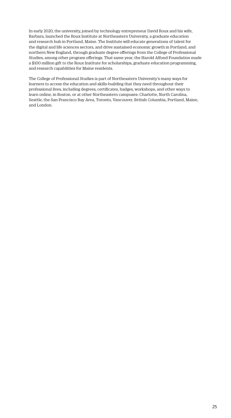In early 2020, the university, joined by technology entrepreneur David Roux and his wife, Barbara, launched the Roux Institute at Northeastern University, a graduate education and research hub in Portland, Maine. The Institute will educate generations of talent for the digital and life sciences sectors, and drive sustained economic growth in Portland, and northern New England, through graduate degree offerings from the College of Professional Studies, among other program offerings. That same year, the Harold Alfond Foundation made a \$100 million gift to the Roux Institute for scholarships, graduate education programming, and research capabilities for Maine residents.

The College of Professional Studies is part of Northeastern University's many ways for learners to access the education and skills-building that they need throughout their professional lives, including degrees, certificates, badges, workshops, and other ways to learn online, in Boston, or at other Northeastern campuses: Charlotte, North Carolina, Seattle, the San Francisco Bay Area, Toronto, Vancouver, British Columbia, Portland, Maine, and London.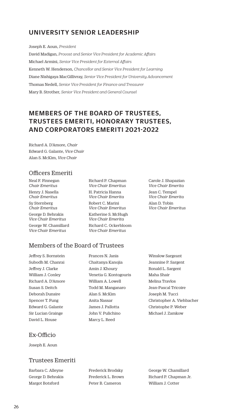## UNIVERSITY SENIOR LEADERSHIP

Joseph E. Aoun, *President*

David Madigan, *Provost and Senior Vice President for Academic Affairs*  Michael Armini, *Senior Vice President for External Affairs* Kenneth W. Henderson, *Chancellor and Senior Vice President for Learning*  Diane Nishigaya MacGillivray, *Senior Vice President for University Advancement*  Thomas Nedell, *Senior Vice President for Finance and Treasurer* Mary B. Strother, *Senior Vice President and General Counsel*

## MEMBERS OF THE BOARD OF TRUSTEES, TRUSTEES EMERITI, HONORARY TRUSTEES, AND CORPORATORS EMERITI 2021-2022

Richard A. D'Amore, *Chair* Edward G. Galante, *Vice Chair* Alan S. McKim, *Vice Chair*

### Officers Emeriti

Neal F. Finnegan *Chair Emeritus* Henry J. Nasella *Chair Emeritus* Sy Sternberg *Chair Emeritus* George D. Behrakis *Vice Chair Emeritus* George W. Chamillard *Vice Chair Emeritus*

Richard P. Chapman *Vice Chair Emeritus* H. Patricia Hanna *Vice Chair Emerita* Robert C. Marini *Vice Chair Emeritus* Katherine S. McHugh *Vice Chair Emerita* Richard C. Ockerbloom *Vice Chair Emeritus*

Carole J. Shapazian *Vice Chair Emerita* Jean C. Tempel *Vice Chair Emerita* Alan D. Tobin *Vice Chair Emeritus*

## Members of the Board of Trustees

Jeffrey S. Bornstein Subodh M. Chanrai Jeffrey J. Clarke William J. Conley Richard A. D'Amore Susan S. Deitch Deborah Dunsire Spencer T. Fung Edward G. Galante Sir Lucian Grainge David L. House

Frances N. Janis Chaitanya Kanojia Amin J. Khoury Venetia G. Kontogouris William A. Lowell Todd M. Manganaro Alan S. McKim Anita Nassar James J. Pallotta John V. Pulichino Marcy L. Reed

Winslow Sargeant Jeannine P. Sargent Ronald L. Sargent Maha Shair Melina Travlos Jean-Pascal Tricoire Joseph M. Tucci Christopher A. Viehbacher Christophe P. Weber Michael J. Zamkow

### Ex-Officio

Joseph E. Aoun

### Trustees Emeriti

Barbara C. Alleyne George D. Behrakis Margot Botsford

Frederick Brodsky Frederick L. Brown Peter B. Cameron

George W. Chamillard Richard P. Chapman Jr. William J. Cotter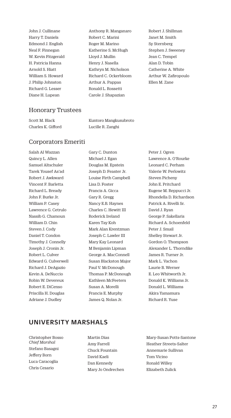John J. Cullinane Harry T. Daniels Edmond J. English Neal F. Finnegan W. Kevin Fitzgerald H. Patricia Hanna Arnold S. Hiatt William S. Howard J. Philip Johnston Richard G. Lesser Diane H. Lupean

- Anthony R. Manganaro Robert C. Marini Roger M. Marino Katherine S. McHugh Lloyd J. Mullin Henry J. Nasella Kathryn M. Nicholson Richard C. Ockerbloom Arthur A. Pappas Ronald L. Rossetti Carole J. Shapazian
- Robert J. Shillman Janet M. Smith Sy Sternberg Stephen J. Sweeney Jean C. Tempel Alan D. Tobin Catherine A. White Arthur W. Zafiropoulo Ellen M. Zane

### Honorary Trustees

Scott M. Black Charles K. Gifford Kuntoro Mangkusubroto Lucille R. Zanghi

### Corporators Emeriti

Salah Al Wazzan Quincy L. Allen Samuel Altschuler Tarek Yousef As'ad Robert J. Awkward Vincent F. Barletta Richard L. Bready John F. Burke Jr. William P. Casey Lawrence G. Cetrulo Nassib G. Chamoun William D. Chin Steven J. Cody Daniel T. Condon Timothy J. Connelly Joseph J. Cronin Jr. Robert L. Culver Edward G. Culverwell Richard J. DeAgazio Kevin A. DeNuccio Robin W. Devereux Robert E. DiCenso Priscilla H. Douglas Adriane J. Dudley

Gary C. Dunton Michael J. Egan Douglas M. Epstein Joseph D. Feaster Jr. Louise Firth Campbell Lisa D. Foster Francis A. Gicca Gary R. Gregg Nancy E.B. Haynes Charles C. Hewitt III Roderick Ireland Karen Tay Koh Mark Alan Krentzman Joseph C. Lawler III Mary Kay Leonard M Benjamin Lipman George A. MacConnell Susan Blackston Major Paul V. McDonough Thomas P. McDonough Kathleen McFeeters Susan A. Morelli Francis E. Murphy James Q. Nolan Jr.

Peter J. Ogren Lawrence A. O'Rourke Leonard C. Perham Valerie W. Perlowitz Steven Picheny John E. Pritchard Eugene M. Reppucci Jr. Rhondella D. Richardson Patrick A. Rivelli Sr. David J. Ryan George P. Sakellaris Richard A. Schoenfeld Peter J. Smail Shelley Stewart Jr. Gordon O. Thompson Alexander L. Thorndike James R. Turner Jr. Mark L. Vachon Laurie B. Werner E. Leo Whitworth Jr. Donald K. Williams Jr. Donald L. Williams Akira Yamamura Richard R. Yuse

### UNIVERSITY MARSHALS

Christopher Bosso *Chief Marshal* Stefano Basagni Jeffery Born Luca Caracoglia Chris Cesario

Martin Dias Amy Farrell Chuck Fountain David Kaeli Dan Kennedy Mary Jo Ondrechen Mary-Susan Potts-Santone Heather Streets-Salter Annemarie Sullivan Tom Vicino Ronald Willey Elizabeth Zulick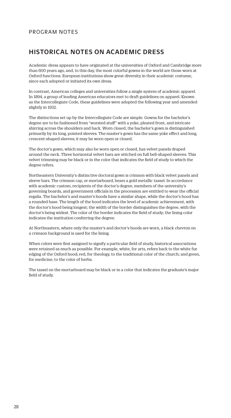### PROGRAM NOTES

### HISTORICAL NOTES ON ACADEMIC DRESS

Academic dress appears to have originated at the universities of Oxford and Cambridge more than 600 years ago, and, to this day, the most colorful gowns in the world are those worn at Oxford functions. European institutions show great diversity in their academic costume, since each adopted or initiated its own dress.

In contrast, American colleges and universities follow a single system of academic apparel. In 1894, a group of leading American educators met to draft guidelines on apparel. Known as the Intercollegiate Code, these guidelines were adopted the following year and amended slightly in 1932.

The distinctions set up by the Intercollegiate Code are simple. Gowns for the bachelor's degree are to be fashioned from "worsted stuff" with a yoke, pleated front, and intricate shirring across the shoulders and back. Worn closed, the bachelor's gown is distinguished primarily by its long, pointed sleeves. The master's gown has the same yoke effect and long, crescent-shaped sleeves; it may be worn open or closed.

The doctor's gown, which may also be worn open or closed, has velvet panels draped around the neck. Three horizontal velvet bars are stitched on full bell-shaped sleeves. This velvet trimming may be black or in the color that indicates the field of study to which the degree refers.

Northeastern University's distinctive doctoral gown is crimson with black velvet panels and sleeve bars. The crimson cap, or mortarboard, bears a gold metallic tassel. In accordance with academic custom, recipients of the doctor's degree, members of the university's governing boards, and government officials in the procession are entitled to wear the official regalia. The bachelor's and master's hoods have a similar shape, while the doctor's hood has a rounded base. The length of the hood indicates the level of academic achievement, with the doctor's hood being longest; the width of the border distinguishes the degree, with the doctor's being widest. The color of the border indicates the field of study; the lining color indicates the institution conferring the degree.

At Northeastern, where only the master's and doctor's hoods are worn, a black chevron on a crimson background is used for the lining.

When colors were first assigned to signify a particular field of study, historical associations were retained as much as possible. For example, white, for arts, refers back to the white fur edging of the Oxford hood; red, for theology, to the traditional color of the church; and green, for medicine, to the color of herbs.

The tassel on the mortarboard may be black or in a color that indicates the graduate's major field of study.